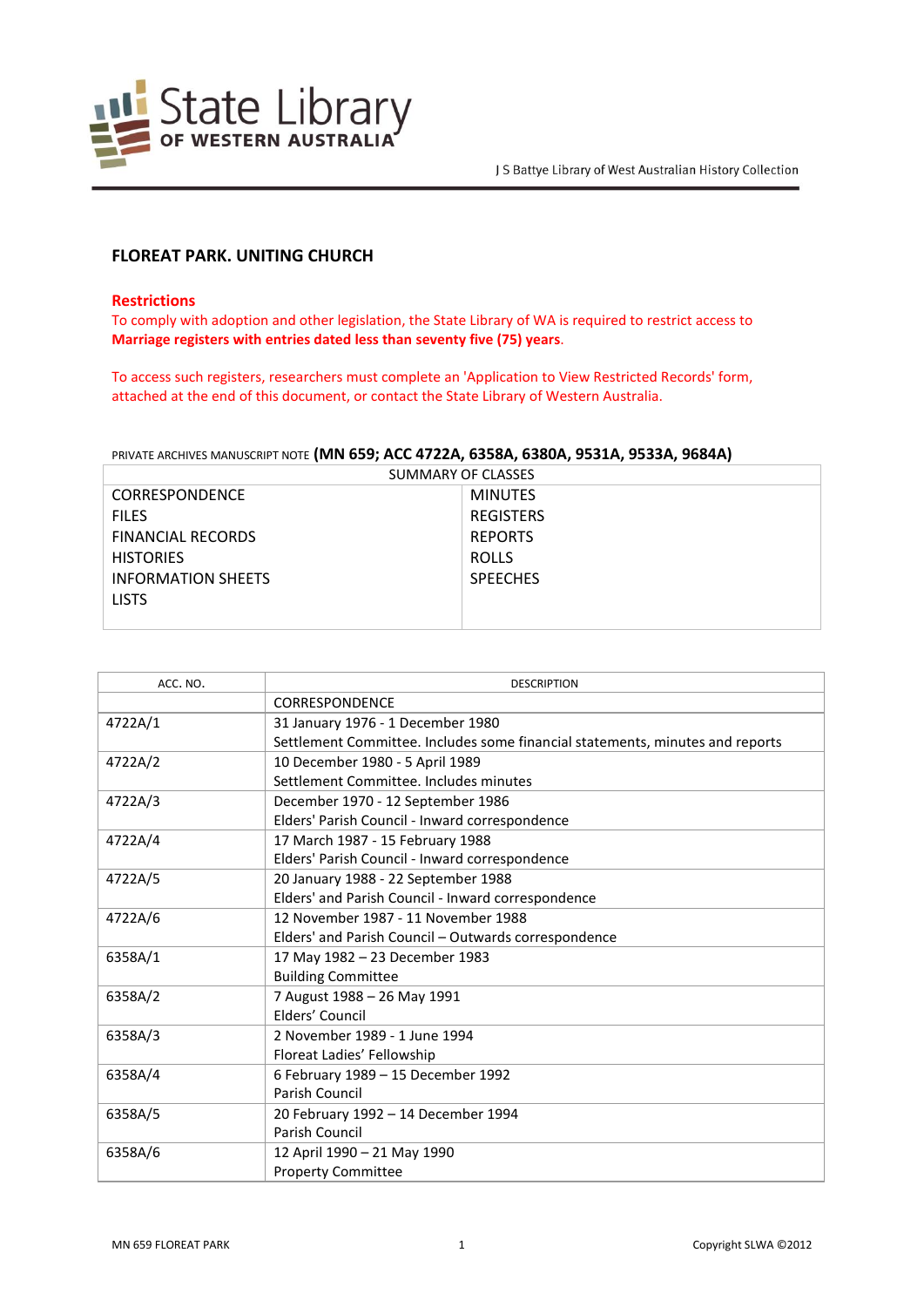

# **FLOREAT PARK. UNITING CHURCH**

### **Restrictions**

To comply with adoption and other legislation, the State Library of WA is required to restrict access to **Marriage registers with entries dated less than seventy five (75) years**.

To access such registers, researchers must complete an 'Application to View Restricted Records' form, attached at the end of this document, or contact the State Library of Western Australia.

#### PRIVATE ARCHIVES MANUSCRIPT NOTE **(MN 659; ACC 4722A, 6358A, 6380A, 9531A, 9533A, 9684A)**

| SUMMARY OF CLASSES        |                  |  |
|---------------------------|------------------|--|
| <b>CORRESPONDENCE</b>     | <b>MINUTES</b>   |  |
| <b>FILES</b>              | <b>REGISTERS</b> |  |
| <b>FINANCIAL RECORDS</b>  | <b>REPORTS</b>   |  |
| <b>HISTORIES</b>          | <b>ROLLS</b>     |  |
| <b>INFORMATION SHEETS</b> | <b>SPEECHES</b>  |  |
| <b>LISTS</b>              |                  |  |
|                           |                  |  |

| ACC. NO. | <b>DESCRIPTION</b>                                                            |
|----------|-------------------------------------------------------------------------------|
|          | CORRESPONDENCE                                                                |
| 4722A/1  | 31 January 1976 - 1 December 1980                                             |
|          | Settlement Committee. Includes some financial statements, minutes and reports |
| 4722A/2  | 10 December 1980 - 5 April 1989                                               |
|          | Settlement Committee, Includes minutes                                        |
| 4722A/3  | December 1970 - 12 September 1986                                             |
|          | Elders' Parish Council - Inward correspondence                                |
| 4722A/4  | 17 March 1987 - 15 February 1988                                              |
|          | Elders' Parish Council - Inward correspondence                                |
| 4722A/5  | 20 January 1988 - 22 September 1988                                           |
|          | Elders' and Parish Council - Inward correspondence                            |
| 4722A/6  | 12 November 1987 - 11 November 1988                                           |
|          | Elders' and Parish Council - Outwards correspondence                          |
| 6358A/1  | 17 May 1982 - 23 December 1983                                                |
|          | <b>Building Committee</b>                                                     |
| 6358A/2  | 7 August 1988 - 26 May 1991                                                   |
|          | Elders' Council                                                               |
| 6358A/3  | 2 November 1989 - 1 June 1994                                                 |
|          | Floreat Ladies' Fellowship                                                    |
| 6358A/4  | 6 February 1989 - 15 December 1992                                            |
|          | Parish Council                                                                |
| 6358A/5  | 20 February 1992 - 14 December 1994                                           |
|          | Parish Council                                                                |
| 6358A/6  | 12 April 1990 - 21 May 1990                                                   |
|          | <b>Property Committee</b>                                                     |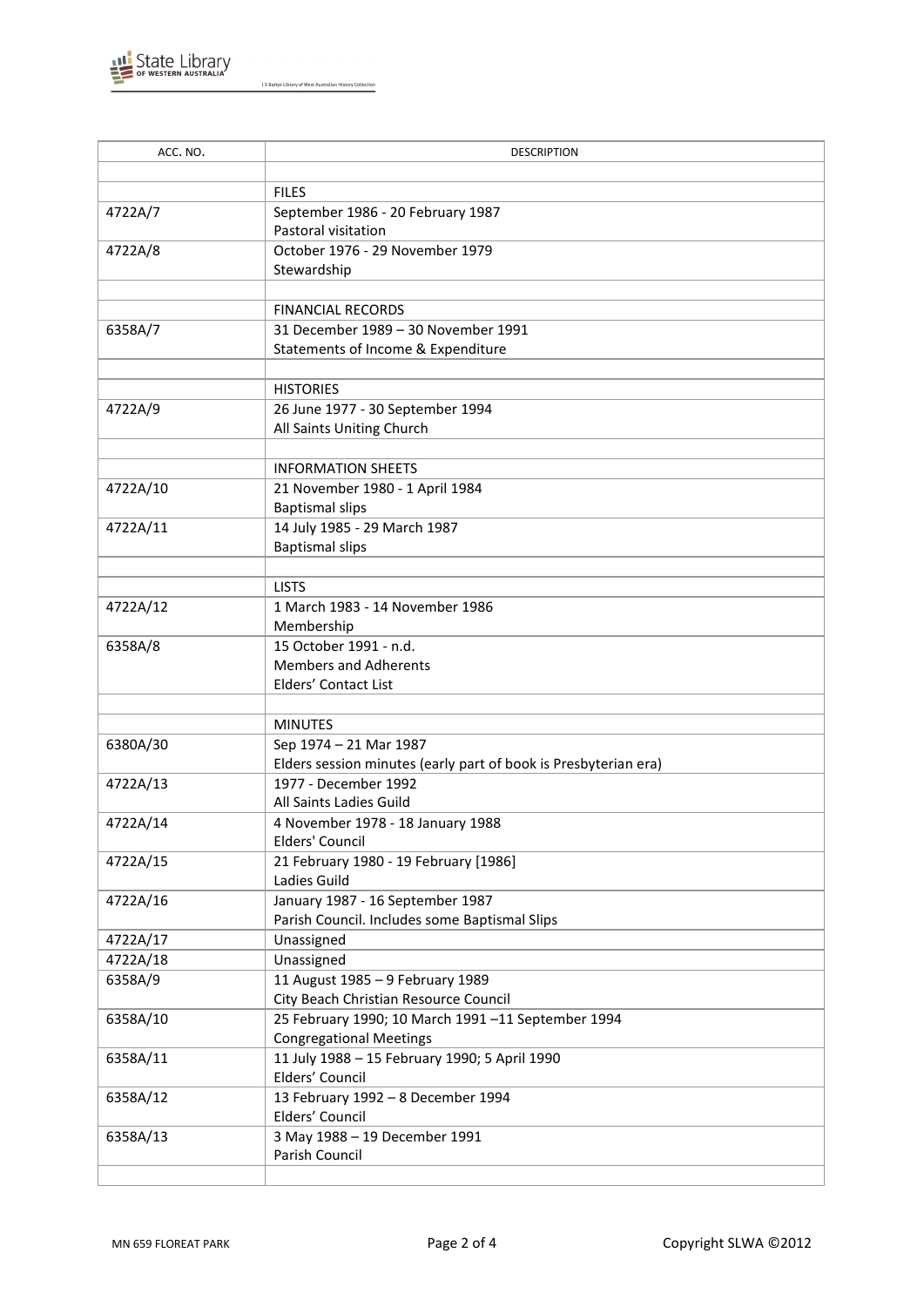

J S Battye Library of West Australian History Collection

| ACC. NO. | <b>DESCRIPTION</b>                                              |
|----------|-----------------------------------------------------------------|
|          |                                                                 |
|          | <b>FILES</b>                                                    |
| 4722A/7  | September 1986 - 20 February 1987                               |
|          | Pastoral visitation                                             |
| 4722A/8  | October 1976 - 29 November 1979                                 |
|          | Stewardship                                                     |
|          |                                                                 |
|          | <b>FINANCIAL RECORDS</b>                                        |
| 6358A/7  | 31 December 1989 - 30 November 1991                             |
|          | Statements of Income & Expenditure                              |
|          |                                                                 |
|          | <b>HISTORIES</b>                                                |
| 4722A/9  | 26 June 1977 - 30 September 1994                                |
|          | All Saints Uniting Church                                       |
|          |                                                                 |
|          | <b>INFORMATION SHEETS</b>                                       |
| 4722A/10 | 21 November 1980 - 1 April 1984                                 |
|          | <b>Baptismal slips</b>                                          |
| 4722A/11 | 14 July 1985 - 29 March 1987                                    |
|          | <b>Baptismal slips</b>                                          |
|          |                                                                 |
|          | <b>LISTS</b>                                                    |
| 4722A/12 | 1 March 1983 - 14 November 1986                                 |
|          | Membership                                                      |
| 6358A/8  | 15 October 1991 - n.d.                                          |
|          | <b>Members and Adherents</b>                                    |
|          | Elders' Contact List                                            |
|          |                                                                 |
|          | <b>MINUTES</b>                                                  |
| 6380A/30 | Sep 1974 - 21 Mar 1987                                          |
|          | Elders session minutes (early part of book is Presbyterian era) |
| 4722A/13 | 1977 - December 1992                                            |
|          | All Saints Ladies Guild                                         |
| 4722A/14 | 4 November 1978 - 18 January 1988<br>Elders' Council            |
| 4722A/15 | 21 February 1980 - 19 February [1986]                           |
|          | Ladies Guild                                                    |
| 4722A/16 | January 1987 - 16 September 1987                                |
|          | Parish Council. Includes some Baptismal Slips                   |
| 4722A/17 | Unassigned                                                      |
| 4722A/18 | Unassigned                                                      |
| 6358A/9  | 11 August 1985 - 9 February 1989                                |
|          | City Beach Christian Resource Council                           |
| 6358A/10 | 25 February 1990; 10 March 1991-11 September 1994               |
|          | <b>Congregational Meetings</b>                                  |
| 6358A/11 | 11 July 1988 - 15 February 1990; 5 April 1990                   |
|          | Elders' Council                                                 |
| 6358A/12 | 13 February 1992 - 8 December 1994                              |
|          | Elders' Council                                                 |
| 6358A/13 | 3 May 1988 - 19 December 1991                                   |
|          | Parish Council                                                  |
|          |                                                                 |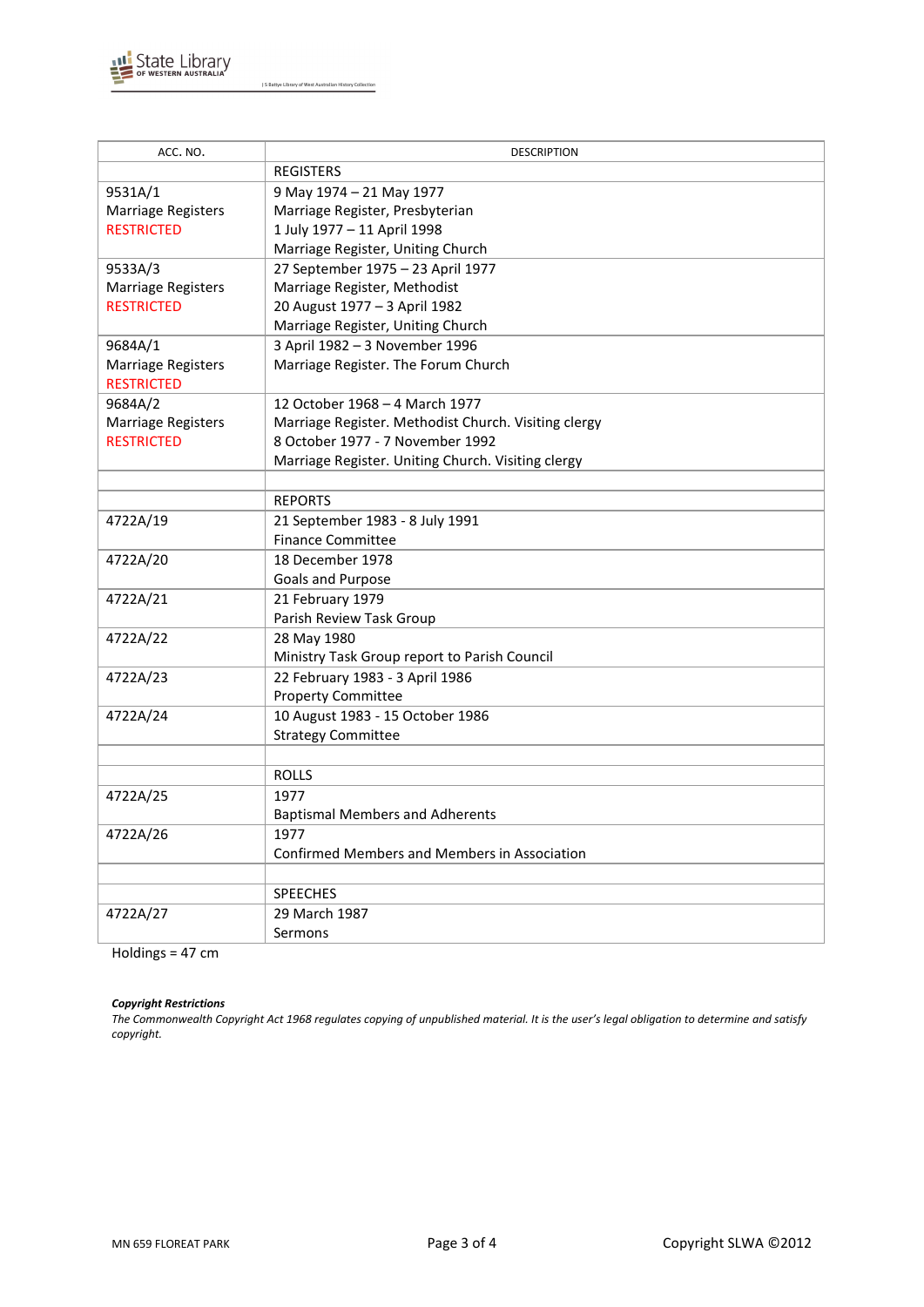

J S Battye Library of West Australian History Collection

| ACC. NO.                  | <b>DESCRIPTION</b>                                   |
|---------------------------|------------------------------------------------------|
|                           | <b>REGISTERS</b>                                     |
| 9531A/1                   | 9 May 1974 - 21 May 1977                             |
| <b>Marriage Registers</b> | Marriage Register, Presbyterian                      |
| <b>RESTRICTED</b>         | 1 July 1977 - 11 April 1998                          |
|                           | Marriage Register, Uniting Church                    |
| 9533A/3                   | 27 September 1975 - 23 April 1977                    |
| Marriage Registers        | Marriage Register, Methodist                         |
| <b>RESTRICTED</b>         | 20 August 1977 - 3 April 1982                        |
|                           | Marriage Register, Uniting Church                    |
| 9684A/1                   | 3 April 1982 - 3 November 1996                       |
| Marriage Registers        | Marriage Register. The Forum Church                  |
| <b>RESTRICTED</b>         |                                                      |
| 9684A/2                   | 12 October 1968 - 4 March 1977                       |
| <b>Marriage Registers</b> | Marriage Register. Methodist Church. Visiting clergy |
| <b>RESTRICTED</b>         | 8 October 1977 - 7 November 1992                     |
|                           | Marriage Register. Uniting Church. Visiting clergy   |
|                           |                                                      |
|                           | <b>REPORTS</b>                                       |
| 4722A/19                  | 21 September 1983 - 8 July 1991                      |
|                           | <b>Finance Committee</b>                             |
| 4722A/20                  | 18 December 1978                                     |
|                           | Goals and Purpose                                    |
| 4722A/21                  | 21 February 1979                                     |
|                           | Parish Review Task Group                             |
| 4722A/22                  | 28 May 1980                                          |
|                           | Ministry Task Group report to Parish Council         |
| 4722A/23                  | 22 February 1983 - 3 April 1986                      |
|                           | <b>Property Committee</b>                            |
| 4722A/24                  | 10 August 1983 - 15 October 1986                     |
|                           | <b>Strategy Committee</b>                            |
|                           |                                                      |
|                           | <b>ROLLS</b>                                         |
| 4722A/25                  | 1977                                                 |
|                           | <b>Baptismal Members and Adherents</b>               |
| 4722A/26                  | 1977                                                 |
|                           | <b>Confirmed Members and Members in Association</b>  |
|                           |                                                      |
|                           | <b>SPEECHES</b>                                      |
| 4722A/27                  | 29 March 1987                                        |
|                           | Sermons                                              |

Holdings = 47 cm

#### *Copyright Restrictions*

*The Commonwealth Copyright Act 1968 regulates copying of unpublished material. It is the user's legal obligation to determine and satisfy copyright.*